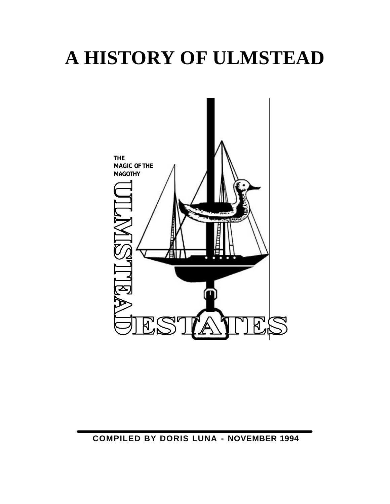# **A HISTORY OF ULMSTEAD**

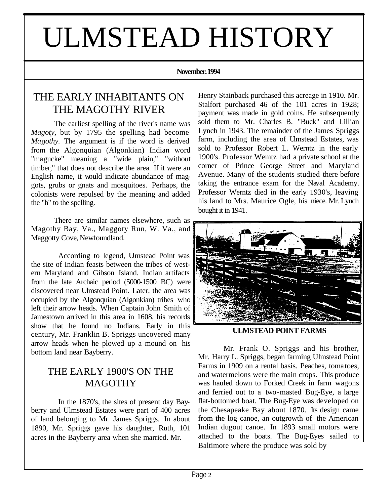# ULMSTEAD HISTORY

#### **November. 1994**

# THE EARLY INHABITANTS ON THE MAGOTHY RIVER

The earliest spelling of the river's name was *Magoty,* but by 1795 the spelling had become *Magothy.* The argument is if the word is derived from the Algonquian (Algonkian) Indian word "magucke" meaning a "wide plain," "without timber," that does not describe the area. If it were an English name, it would indicate abundance of maggots, grubs or gnats and mosquitoes. Perhaps, the colonists were repulsed by the meaning and added the "h" to the spelling.

There are similar names elsewhere, such as Magothy Bay, Va., Maggoty Run, W. Va., and Maggotty Cove, Newfoundland.

According to legend, Ulmstead Point was the site of Indian feasts between the tribes of western Maryland and Gibson Island. Indian artifacts from the late Archaic period (5000-1500 BC) were discovered near Ulmstead Point. Later, the area was occupied by the Algonquian (Algonkian) tribes who left their arrow heads. When Captain John Smith of Jamestown arrived in this area in 1608, his records show that he found no Indians. Early in this century, Mr. Franklin B. Spriggs uncovered many arrow heads when he plowed up a mound on his bottom land near Bayberry.

# THE EARLY 1900'S ON THE **MAGOTHY**

In the 1870's, the sites of present day Bayberry and Ulmstead Estates were part of 400 acres of land belonging to Mr. James Spriggs. In about 1890, Mr. Spriggs gave his daughter, Ruth, 101 acres in the Bayberry area when she married. Mr.

Henry Stainback purchased this acreage in 1910. Mr. Stalfort purchased 46 of the 101 acres in 1928; payment was made in gold coins. He subsequently sold them to Mr. Charles B. "Buck" and Lillian Lynch in 1943. The remainder of the James Spriggs farm, including the area of Ulmstead Estates, was sold to Professor Robert L. Werntz in the early 1900's. Professor Wemtz had a private school at the corner of Prince George Street and Maryland Avenue. Many of the students studied there before taking the entrance exam for the Naval Academy. Professor Werntz died in the early 1930's, leaving his land to Mrs. Maurice Ogle, his niece. Mr. Lynch bought it in 1941.



**ULMSTEAD POINT FARMS**

Mr. Frank O. Spriggs and his brother, Mr. Harry L. Spriggs, began farming Ulmstead Point Farms in 1909 on a rental basis. Peaches, toma toes, and watermelons were the main crops. This produce was hauled down to Forked Creek in farm wagons and ferried out to a two-masted Bug-Eye, a large flat-bottomed boat. The Bug-Eye was developed on the Chesapeake Bay about 1870. Its design came from the log canoe, an outgrowth of the American Indian dugout canoe. In 1893 small motors were attached to the boats. The Bug-Eyes sailed to Baltimore where the produce was sold by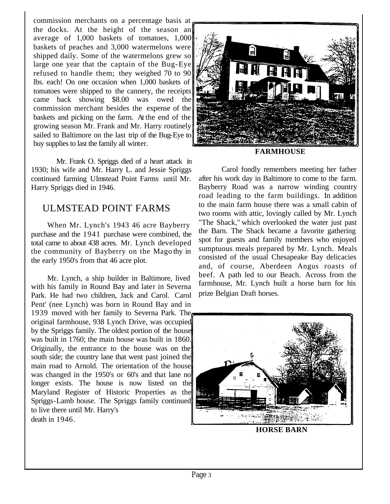commission merchants on a percentage basis at the docks. At the height of the season an average of 1,000 baskets of tomatoes, 1,000 baskets of peaches and 3,000 watermelons were shipped daily. Some of the watermelons grew so large one year that the captain of the Bug-Eye refused to handle them; they weighed 70 to 90 lbs. each! On one occasion when 1,000 baskets of tomatoes were shipped to the cannery, the receipts came back showing \$8.00 was owed the commission merchant besides the expense of the baskets and picking on the farm. At the end of the growing season Mr. Frank and Mr. Harry routinely sailed to Baltimore on the last trip of the Bug-Eye to buy supplies to last the family all winter.

Mr. Frank O. Spriggs died of a heart attack in 1930; his wife and Mr. Harry L. and Jessie Spriggs continued farming Ulmstead Point Farms until Mr. Harry Spriggs died in 1946.

# ULMSTEAD POINT FARMS

When Mr. Lynch's 1943 46 acre Bayberry purchase and the 1941 purchase were combined, the total came to about 438 acres. Mr. Lynch developed the community of Bayberry on the Mago thy in the early 1950's from that 46 acre plot.

Mr. Lynch, a ship builder in Baltimore, lived with his family in Round Bay and later in Severna Park. He had two children, Jack and Carol. Carol Pent' (nee Lynch) was born in Round Bay and in 1939 moved with her family to Severna Park. The original farmhouse, 938 Lynch Drive, was occupied by the Spriggs family. The oldest portion of the house was built in 1760; the main house was built in 1860. Originally, the entrance to the house was on the south side; the country lane that went past joined the main road to Arnold. The orientation of the house was changed in the 1950's or 60's and that lane no longer exists. The house is now listed on the Maryland Register of Historic Properties as the Spriggs-Lamb house. The Spriggs family continued to live there until Mr. Harry's death in 1946.



#### **FARMHOUSE**

Carol fondly remembers meeting her father after his work day in Baltimore to come to the farm. Bayberry Road was a narrow winding country road leading to the farm buildings. In addition to the main farm house there was a small cabin of two rooms with attic, lovingly called by Mr. Lynch "The Shack," which overlooked the water just past the Barn. The Shack became a favorite gathering spot for guests and family members who enjoyed sumptuous meals prepared by Mr. Lynch. Meals consisted of the usual Chesapeake Bay delicacies and, of course, Aberdeen Angus roasts of beef. A path led to our Beach. Across from the farmhouse, Mr. Lynch built a horse barn for his prize Belgian Draft horses.



Page 3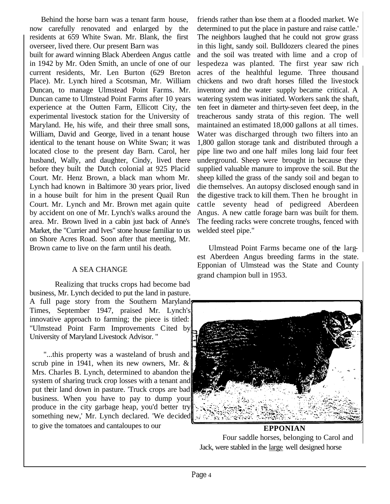Behind the horse barn was a tenant farm house, now carefully renovated and enlarged by the residents at 659 White Swan. Mr. Blank, the first overseer, lived there. Our present Barn was

built for award winning Black Aberdeen Angus cattle in 1942 by Mr. Oden Smith, an uncle of one of our current residents, Mr. Len Burton (629 Breton Place). Mr. Lynch hired a Scotsman, Mr. William Duncan, to manage Ulmstead Point Farms. Mr. Duncan came to Ulmstead Point Farms after 10 years experience at the Outten Farm, Ellicott City, the experimental livestock station for the University of Maryland. He, his wife, and their three small sons, William, David and George, lived in a tenant house identical to the tenant house on White Swan; it was located close to the present day Barn. Carol, her husband, Wally, and daughter, Cindy, lived there before they built the Dutch colonial at 925 Placid Court. Mr. Henz Brown, a black man whom Mr. Lynch had known in Baltimore 30 years prior, lived in a house built for him in the present Quail Run Court. Mr. Lynch and Mr. Brown met again quite by accident on one of Mr. Lynch's walks around the area. Mr. Brown lived in a cabin just back of Anne's Market, the "Currier and Ives" stone house familiar to us on Shore Acres Road. Soon after that meeting, Mr. Brown came to live on the farm until his death.

#### A SEA CHANGE

Realizing that trucks crops had become bad business, Mr. Lynch decided to put the land in pasture. A full page story from the Southern Maryland Times, September 1947, praised Mr. Lynch's innovative approach to farming; the piece is titled: "Ulmstead Point Farm Improvements Cited by University of Maryland Livestock Advisor. "

"...this property was a wasteland of brush and scrub pine in 1941, when its new owners, Mr. & Mrs. Charles B. Lynch, determined to abandon the system of sharing truck crop losses with a tenant and put their land down in pasture. 'Truck crops are bad business. When you have to pay to dump your produce in the city garbage heap, you'd better try something new,' Mr. Lynch declared. 'We decided to give the tomatoes and cantaloupes to our

friends rather than lose them at a flooded market. We determined to put the place in pasture and raise cattle.' The neighbors laughed that he could not grow grass in this light, sandy soil. Bulldozers cleared the pines and the soil was treated with lime and a crop of lespedeza was planted. The first year saw rich acres of the healthful legume. Three thousand chickens and two draft horses filled the livestock inventory and the water supply became critical. A watering system was initiated. Workers sank the shaft, ten feet in diameter and thirty-seven feet deep, in the treacherous sandy strata of this region. The well maintained an estimated 18,000 gallons at all times. Water was discharged through two filters into an 1,800 gallon storage tank and distributed through a pipe line two and one half miles long laid four feet underground. Sheep were brought in because they supplied valuable manure to improve the soil. But the sheep killed the grass of the sandy soil and began to die themselves. An autopsy disclosed enough sand in the digestive track to kill them. Then he brought in cattle seventy head of pedigreed Aberdeen Angus. A new cattle forage barn was built for them. The feeding racks were concrete troughs, fenced with welded steel pipe."

Ulmstead Point Farms became one of the largest Aberdeen Angus breeding farms in the state. Epponian of Ulmstead was the State and County grand champion bull in 1953.



**EPPONIAN** Four saddle horses, belonging to Carol and Jack, were stabled in the large well designed horse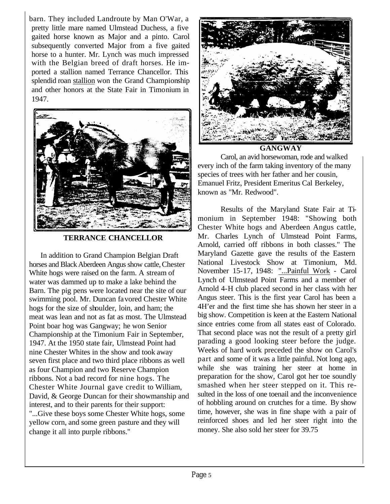barn. They included Landroute by Man O'War, a pretty little mare named Ulmstead Duchess, a five gaited horse known as Major and a pinto. Carol subsequently converted Major from a five gaited horse to a hunter. Mr. Lynch was much impressed with the Belgian breed of draft horses. He imported a stallion named Terrance Chancellor. This splendid roan stallion won the Grand Championship and other honors at the State Fair in Timonium in 1947.



#### **TERRANCE CHANCELLOR**

In addition to Grand Champion Belgian Draft horses and Black Aberdeen Angus show cattle, Chester White hogs were raised on the farm. A stream of water was dammed up to make a lake behind the Barn. The pig pens were located near the site of our swimming pool. Mr. Duncan favored Chester White hogs for the size of shoulder, loin, and ham; the meat was lean and not as fat as most. The Ulmstead Point boar hog was Gangway; he won Senior Championship at the Timonium Fair in September, 1947. At the 1950 state fair, Ulmstead Point had nine Chester Whites in the show and took away seven first place and two third place ribbons as well as four Champion and two Reserve Champion ribbons. Not a bad record for nine hogs. The Chester White Journal gave credit to William, David, & George Duncan for their showmanship and interest, and to their parents for their support: "...Give these boys some Chester White hogs, some yellow corn, and some green pasture and they will change it all into purple ribbons."



**GANGWAY**

Carol, an avid horsewoman, rode and walked every inch of the farm taking inventory of the many species of trees with her father and her cousin, Emanuel Fritz, President Emeritus Cal Berkeley, known as "Mr. Redwood".

Results of the Maryland State Fair at Timonium in September 1948: "Showing both Chester White hogs and Aberdeen Angus cattle, Mr. Charles Lynch of Ulmstead Point Farms, Arnold, carried off ribbons in both classes." The Maryland Gazette gave the results of the Eastern National Livestock Show at Timonium, Md. November 15-17, 1948: "...Painful Work - Carol Lynch of Ulmstead Point Farms and a member of Arnold 4-H club placed second in her class with her Angus steer. This is the first year Carol has been a 4H'er and the first time she has shown her steer in a big show. Competition is keen at the Eastern National since entries come from all states east of Colorado. That second place was not the result of a pretty girl parading a good looking steer before the judge. Weeks of hard work preceded the show on Carol's part and some of it was a little painful. Not long ago, while she was training her steer at home in preparation for the show, Carol got her toe soundly smashed when her steer stepped on it. This resulted in the loss of one toenail and the inconvenience of hobbling around on crutches for a time. By show time, however, she was in fine shape with a pair of reinforced shoes and led her steer right into the money. She also sold her steer for 39.75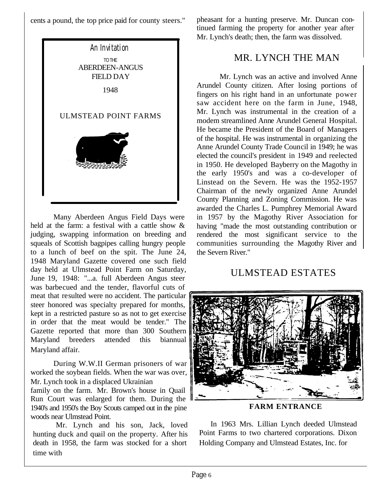cents a pound, the top price paid for county steers."



Many Aberdeen Angus Field Days were held at the farm: a festival with a cattle show & judging, swapping information on breeding and squeals of Scottish bagpipes calling hungry people to a lunch of beef on the spit. The June 24, 1948 Maryland Gazette covered one such field day held at Ulmstead Point Farm on Saturday, June 19, 1948: "...a. full Aberdeen Angus steer was barbecued and the tender, flavorful cuts of meat that resulted were no accident. The particular steer honored was specialty prepared for months, kept in a restricted pasture so as not to get exercise in order that the meat would be tender." The Gazette reported that more than 300 Southern Maryland breeders attended this biannual Maryland affair.

During W.W.II German prisoners of war worked the soybean fields. When the war was over, Mr. Lynch took in a displaced Ukrainian

family on the farm. Mr. Brown's house in Quail Run Court was enlarged for them. During the 1940's and 1950's the Boy Scouts camped out in the pine woods near Ulmstead Point.

Mr. Lynch and his son, Jack, loved hunting duck and quail on the property. After his death in 1958, the farm was stocked for a short time with

pheasant for a hunting preserve. Mr. Duncan continued farming the property for another year after Mr. Lynch's death; then, the farm was dissolved.

# MR. LYNCH THE MAN

Mr. Lynch was an active and involved Anne Arundel County citizen. After losing portions of fingers on his right hand in an unfortunate power saw accident here on the farm in June, 1948, Mr. Lynch was instrumental in the creation of a modem streamlined Anne Arundel General Hospital. He became the President of the Board of Managers of the hospital. He was instrumental in organizing the Anne Arundel County Trade Council in 1949; he was elected the council's president in 1949 and reelected in 1950. He developed Bayberry on the Magothy in the early 1950's and was a co-developer of Linstead on the Severn. He was the 1952-1957 Chairman of the newly organized Anne Arundel County Planning and Zoning Commission. He was awarded the Charles L. Pumphrey Memorial Award in 1957 by the Magothy River Association for having "made the most outstanding contribution or rendered the most significant service to the communities surrounding the Magothy River and the Severn River."

### ULMSTEAD ESTATES



**FARM ENTRANCE**

In 1963 Mrs. Lillian Lynch deeded Ulmstead Point Farms to two chartered corporations. Dixon Holding Company and Ulmstead Estates, Inc. for